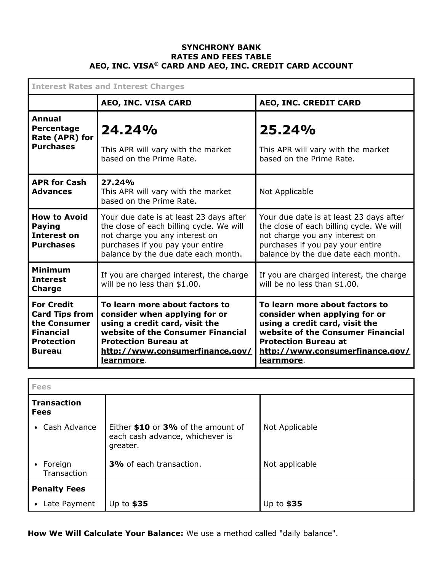## **SYNCHRONY BANK RATES AND FEES TABLE AEO, INC. VISA® CARD AND AEO, INC. CREDIT CARD ACCOUNT**

| <b>Interest Rates and Interest Charges</b>                                                                           |                                                                                                                                                                                                                        |                                                                                                                                                                                                                        |
|----------------------------------------------------------------------------------------------------------------------|------------------------------------------------------------------------------------------------------------------------------------------------------------------------------------------------------------------------|------------------------------------------------------------------------------------------------------------------------------------------------------------------------------------------------------------------------|
|                                                                                                                      | AEO, INC. VISA CARD                                                                                                                                                                                                    | AEO, INC. CREDIT CARD                                                                                                                                                                                                  |
| Annual<br>Percentage<br>Rate (APR) for<br><b>Purchases</b>                                                           | 24.24%<br>This APR will vary with the market<br>based on the Prime Rate.                                                                                                                                               | 25.24%<br>This APR will vary with the market<br>based on the Prime Rate.                                                                                                                                               |
| <b>APR for Cash</b><br><b>Advances</b>                                                                               | 27.24%<br>This APR will vary with the market<br>based on the Prime Rate.                                                                                                                                               | Not Applicable                                                                                                                                                                                                         |
| <b>How to Avoid</b><br><b>Paying</b><br>Interest on<br><b>Purchases</b>                                              | Your due date is at least 23 days after<br>the close of each billing cycle. We will<br>not charge you any interest on<br>purchases if you pay your entire<br>balance by the due date each month.                       | Your due date is at least 23 days after<br>the close of each billing cycle. We will<br>not charge you any interest on<br>purchases if you pay your entire<br>balance by the due date each month.                       |
| <b>Minimum</b><br><b>Interest</b><br><b>Charge</b>                                                                   | If you are charged interest, the charge<br>will be no less than \$1.00.                                                                                                                                                | If you are charged interest, the charge<br>will be no less than \$1.00.                                                                                                                                                |
| <b>For Credit</b><br><b>Card Tips from</b><br>the Consumer<br><b>Financial</b><br><b>Protection</b><br><b>Bureau</b> | To learn more about factors to<br>consider when applying for or<br>using a credit card, visit the<br>website of the Consumer Financial<br><b>Protection Bureau at</b><br>http://www.consumerfinance.gov/<br>learnmore. | To learn more about factors to<br>consider when applying for or<br>using a credit card, visit the<br>website of the Consumer Financial<br><b>Protection Bureau at</b><br>http://www.consumerfinance.gov/<br>learnmore. |

| <b>Fees</b>                       |                                                                                   |                |
|-----------------------------------|-----------------------------------------------------------------------------------|----------------|
| <b>Transaction</b><br><b>Fees</b> |                                                                                   |                |
| Cash Advance<br>$\bullet$         | Either \$10 or 3% of the amount of<br>each cash advance, whichever is<br>greater. | Not Applicable |
| • Foreign<br>Transaction          | 3% of each transaction.                                                           | Not applicable |
| <b>Penalty Fees</b>               |                                                                                   |                |
| Late Payment<br>$\bullet$         | Up to $$35$                                                                       | Up to $$35$    |

**How We Will Calculate Your Balance:** We use a method called "daily balance".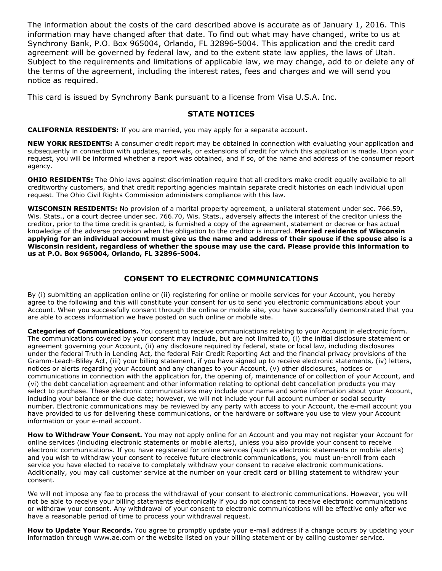The information about the costs of the card described above is accurate as of January 1, 2016. This information may have changed after that date. To find out what may have changed, write to us at Synchrony Bank, P.O. Box 965004, Orlando, FL 32896-5004. This application and the credit card agreement will be governed by federal law, and to the extent state law applies, the laws of Utah. Subject to the requirements and limitations of applicable law, we may change, add to or delete any of the terms of the agreement, including the interest rates, fees and charges and we will send you notice as required.

This card is issued by Synchrony Bank pursuant to a license from Visa U.S.A. Inc.

## **STATE NOTICES**

**CALIFORNIA RESIDENTS:** If you are married, you may apply for a separate account.

**NEW YORK RESIDENTS:** A consumer credit report may be obtained in connection with evaluating your application and subsequently in connection with updates, renewals, or extensions of credit for which this application is made. Upon your request, you will be informed whether a report was obtained, and if so, of the name and address of the consumer report agency.

**OHIO RESIDENTS:** The Ohio laws against discrimination require that all creditors make credit equally available to all creditworthy customers, and that credit reporting agencies maintain separate credit histories on each individual upon request. The Ohio Civil Rights Commission administers compliance with this law.

**WISCONSIN RESIDENTS:** No provision of a marital property agreement, a unilateral statement under sec. 766.59, Wis. Stats., or a court decree under sec. 766.70, Wis. Stats., adversely affects the interest of the creditor unless the creditor, prior to the time credit is granted, is furnished a copy of the agreement, statement or decree or has actual knowledge of the adverse provision when the obligation to the creditor is incurred. **Married residents of Wisconsin** applying for an individual account must give us the name and address of their spouse if the spouse also is a **Wisconsin resident, regardless of whether the spouse may use the card. Please provide this information to us at P.O. Box 965004, Orlando, FL 328965004.**

## **CONSENT TO ELECTRONIC COMMUNICATIONS**

By (i) submitting an application online or (ii) registering for online or mobile services for your Account, you hereby agree to the following and this will constitute your consent for us to send you electronic communications about your Account. When you successfully consent through the online or mobile site, you have successfully demonstrated that you are able to access information we have posted on such online or mobile site.

**Categories of Communications.** You consent to receive communications relating to your Account in electronic form. The communications covered by your consent may include, but are not limited to, (i) the initial disclosure statement or agreement governing your Account, (ii) any disclosure required by federal, state or local law, including disclosures under the federal Truth in Lending Act, the federal Fair Credit Reporting Act and the financial privacy provisions of the Gramm-Leach-Bliley Act, (iii) your billing statement, if you have signed up to receive electronic statements, (iv) letters, notices or alerts regarding your Account and any changes to your Account, (v) other disclosures, notices or communications in connection with the application for, the opening of, maintenance of or collection of your Account, and (vi) the debt cancellation agreement and other information relating to optional debt cancellation products you may select to purchase. These electronic communications may include your name and some information about your Account, including your balance or the due date; however, we will not include your full account number or social security number. Electronic communications may be reviewed by any party with access to your Account, the email account you have provided to us for delivering these communications, or the hardware or software you use to view your Account information or your e-mail account.

**How to Withdraw Your Consent.** You may not apply online for an Account and you may not register your Account for online services (including electronic statements or mobile alerts), unless you also provide your consent to receive electronic communications. If you have registered for online services (such as electronic statements or mobile alerts) and you wish to withdraw your consent to receive future electronic communications, you must un-enroll from each service you have elected to receive to completely withdraw your consent to receive electronic communications. Additionally, you may call customer service at the number on your credit card or billing statement to withdraw your consent.

We will not impose any fee to process the withdrawal of your consent to electronic communications. However, you will not be able to receive your billing statements electronically if you do not consent to receive electronic communications or withdraw your consent. Any withdrawal of your consent to electronic communications will be effective only after we have a reasonable period of time to process your withdrawal request.

How to Update Your Records. You agree to promptly update your e-mail address if a change occurs by updating your information through www.ae.com or the website listed on your billing statement or by calling customer service.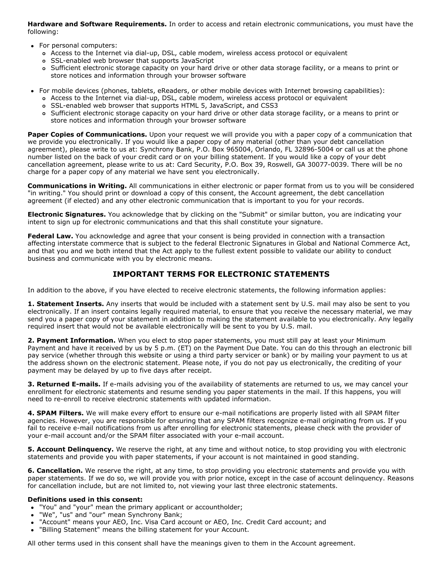**Hardware and Software Requirements.** In order to access and retain electronic communications, you must have the following:

- For personal computers:
	- o Access to the Internet via dial-up, DSL, cable modem, wireless access protocol or equivalent
	- SSLenabled web browser that supports JavaScript
	- Sufficient electronic storage capacity on your hard drive or other data storage facility, or a means to print or store notices and information through your browser software
- For mobile devices (phones, tablets, eReaders, or other mobile devices with Internet browsing capabilities):
	- o Access to the Internet via dial-up, DSL, cable modem, wireless access protocol or equivalent
	- SSLenabled web browser that supports HTML 5, JavaScript, and CSS3
	- Sufficient electronic storage capacity on your hard drive or other data storage facility, or a means to print or store notices and information through your browser software

**Paper Copies of Communications.** Upon your request we will provide you with a paper copy of a communication that we provide you electronically. If you would like a paper copy of any material (other than your debt cancellation agreement), please write to us at: Synchrony Bank, P.O. Box 965004, Orlando, FL 32896-5004 or call us at the phone number listed on the back of your credit card or on your billing statement. If you would like a copy of your debt cancellation agreement, please write to us at: Card Security, P.O. Box 39, Roswell, GA 30077-0039. There will be no charge for a paper copy of any material we have sent you electronically.

**Communications in Writing.** All communications in either electronic or paper format from us to you will be considered "in writing." You should print or download a copy of this consent, the Account agreement, the debt cancellation agreement (if elected) and any other electronic communication that is important to you for your records.

**Electronic Signatures.** You acknowledge that by clicking on the "Submit" or similar button, you are indicating your intent to sign up for electronic communications and that this shall constitute your signature.

**Federal Law.** You acknowledge and agree that your consent is being provided in connection with a transaction affecting interstate commerce that is subject to the federal Electronic Signatures in Global and National Commerce Act, and that you and we both intend that the Act apply to the fullest extent possible to validate our ability to conduct business and communicate with you by electronic means.

## **IMPORTANT TERMS FOR ELECTRONIC STATEMENTS**

In addition to the above, if you have elected to receive electronic statements, the following information applies:

**1. Statement Inserts.** Any inserts that would be included with a statement sent by U.S. mail may also be sent to you electronically. If an insert contains legally required material, to ensure that you receive the necessary material, we may send you a paper copy of your statement in addition to making the statement available to you electronically. Any legally required insert that would not be available electronically will be sent to you by U.S. mail.

**2. Payment Information.** When you elect to stop paper statements, you must still pay at least your Minimum Payment and have it received by us by 5 p.m. (ET) on the Payment Due Date. You can do this through an electronic bill pay service (whether through this website or using a third party servicer or bank) or by mailing your payment to us at the address shown on the electronic statement. Please note, if you do not pay us electronically, the crediting of your payment may be delayed by up to five days after receipt.

**3. Returned E-mails.** If e-mails advising you of the availability of statements are returned to us, we may cancel your enrollment for electronic statements and resume sending you paper statements in the mail. If this happens, you will need to re-enroll to receive electronic statements with updated information.

4. SPAM Filters. We will make every effort to ensure our e-mail notifications are properly listed with all SPAM filter agencies. However, you are responsible for ensuring that any SPAM filters recognize e-mail originating from us. If you fail to receive e-mail notifications from us after enrolling for electronic statements, please check with the provider of your e-mail account and/or the SPAM filter associated with your e-mail account.

**5. Account Delinquency.** We reserve the right, at any time and without notice, to stop providing you with electronic statements and provide you with paper statements, if your account is not maintained in good standing.

**6. Cancellation.** We reserve the right, at any time, to stop providing you electronic statements and provide you with paper statements. If we do so, we will provide you with prior notice, except in the case of account delinquency. Reasons for cancellation include, but are not limited to, not viewing your last three electronic statements.

### **Definitions used in this consent:**

- "You" and "your" mean the primary applicant or accountholder;
- "We", "us" and "our" mean Synchrony Bank;
- "Account" means your AEO, Inc. Visa Card account or AEO, Inc. Credit Card account; and
- "Billing Statement" means the billing statement for your Account.

All other terms used in this consent shall have the meanings given to them in the Account agreement.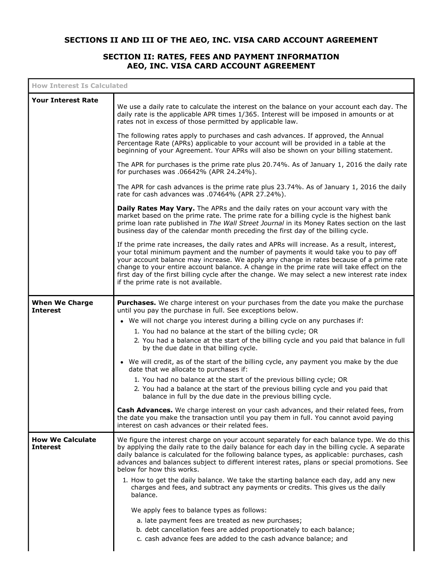# **SECTIONS II AND III OF THE AEO, INC. VISA CARD ACCOUNT AGREEMENT**

# **SECTION II: RATES, FEES AND PAYMENT INFORMATION AEO, INC. VISA CARD ACCOUNT AGREEMENT**

| <b>How Interest Is Calculated</b>          |                                                                                                                                                                                                                                                                                                                                                                                                                                                                                                                                                                                                              |
|--------------------------------------------|--------------------------------------------------------------------------------------------------------------------------------------------------------------------------------------------------------------------------------------------------------------------------------------------------------------------------------------------------------------------------------------------------------------------------------------------------------------------------------------------------------------------------------------------------------------------------------------------------------------|
| <b>Your Interest Rate</b>                  | We use a daily rate to calculate the interest on the balance on your account each day. The<br>daily rate is the applicable APR times 1/365. Interest will be imposed in amounts or at<br>rates not in excess of those permitted by applicable law.                                                                                                                                                                                                                                                                                                                                                           |
|                                            | The following rates apply to purchases and cash advances. If approved, the Annual<br>Percentage Rate (APRs) applicable to your account will be provided in a table at the<br>beginning of your Agreement. Your APRs will also be shown on your billing statement.                                                                                                                                                                                                                                                                                                                                            |
|                                            | The APR for purchases is the prime rate plus 20.74%. As of January 1, 2016 the daily rate<br>for purchases was .06642% (APR 24.24%).                                                                                                                                                                                                                                                                                                                                                                                                                                                                         |
|                                            | The APR for cash advances is the prime rate plus 23.74%. As of January 1, 2016 the daily<br>rate for cash advances was .07464% (APR 27.24%).                                                                                                                                                                                                                                                                                                                                                                                                                                                                 |
|                                            | Daily Rates May Vary. The APRs and the daily rates on your account vary with the<br>market based on the prime rate. The prime rate for a billing cycle is the highest bank<br>prime loan rate published in The Wall Street Journal in its Money Rates section on the last<br>business day of the calendar month preceding the first day of the billing cycle.                                                                                                                                                                                                                                                |
|                                            | If the prime rate increases, the daily rates and APRs will increase. As a result, interest,<br>your total minimum payment and the number of payments it would take you to pay off<br>your account balance may increase. We apply any change in rates because of a prime rate<br>change to your entire account balance. A change in the prime rate will take effect on the<br>first day of the first billing cycle after the change. We may select a new interest rate index<br>if the prime rate is not available.                                                                                           |
| <b>When We Charge</b><br><b>Interest</b>   | Purchases. We charge interest on your purchases from the date you make the purchase<br>until you pay the purchase in full. See exceptions below.<br>• We will not charge you interest during a billing cycle on any purchases if:<br>1. You had no balance at the start of the billing cycle; OR<br>2. You had a balance at the start of the billing cycle and you paid that balance in full<br>by the due date in that billing cycle.                                                                                                                                                                       |
|                                            | • We will credit, as of the start of the billing cycle, any payment you make by the due<br>date that we allocate to purchases if:<br>1. You had no balance at the start of the previous billing cycle; OR<br>2. You had a balance at the start of the previous billing cycle and you paid that<br>balance in full by the due date in the previous billing cycle.                                                                                                                                                                                                                                             |
|                                            | Cash Advances. We charge interest on your cash advances, and their related fees, from<br>the date you make the transaction until you pay them in full. You cannot avoid paying<br>interest on cash advances or their related fees.                                                                                                                                                                                                                                                                                                                                                                           |
| <b>How We Calculate</b><br><b>Interest</b> | We figure the interest charge on your account separately for each balance type. We do this<br>by applying the daily rate to the daily balance for each day in the billing cycle. A separate<br>daily balance is calculated for the following balance types, as applicable: purchases, cash<br>advances and balances subject to different interest rates, plans or special promotions. See<br>below for how this works.<br>1. How to get the daily balance. We take the starting balance each day, add any new<br>charges and fees, and subtract any payments or credits. This gives us the daily<br>balance. |
|                                            | We apply fees to balance types as follows:<br>a. late payment fees are treated as new purchases;<br>b. debt cancellation fees are added proportionately to each balance;<br>c. cash advance fees are added to the cash advance balance; and                                                                                                                                                                                                                                                                                                                                                                  |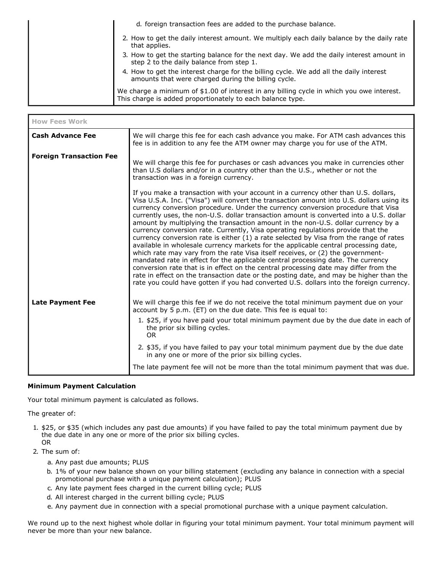| d. foreign transaction fees are added to the purchase balance.                                                                                          |
|---------------------------------------------------------------------------------------------------------------------------------------------------------|
| 2. How to get the daily interest amount. We multiply each daily balance by the daily rate<br>that applies.                                              |
| 3. How to get the starting balance for the next day. We add the daily interest amount in<br>step 2 to the daily balance from step 1.                    |
| 4. How to get the interest charge for the billing cycle. We add all the daily interest<br>amounts that were charged during the billing cycle.           |
| We charge a minimum of \$1.00 of interest in any billing cycle in which you owe interest.<br>This charge is added proportionately to each balance type. |

| <b>How Fees Work</b>           |                                                                                                                                                                                                                                                                                                                                                                                                                                                                                                                                                                                                                                                                                                                                                                                                                                                                                                                                                                                                                                                                                                                                                                            |
|--------------------------------|----------------------------------------------------------------------------------------------------------------------------------------------------------------------------------------------------------------------------------------------------------------------------------------------------------------------------------------------------------------------------------------------------------------------------------------------------------------------------------------------------------------------------------------------------------------------------------------------------------------------------------------------------------------------------------------------------------------------------------------------------------------------------------------------------------------------------------------------------------------------------------------------------------------------------------------------------------------------------------------------------------------------------------------------------------------------------------------------------------------------------------------------------------------------------|
| <b>Cash Advance Fee</b>        | We will charge this fee for each cash advance you make. For ATM cash advances this<br>fee is in addition to any fee the ATM owner may charge you for use of the ATM.                                                                                                                                                                                                                                                                                                                                                                                                                                                                                                                                                                                                                                                                                                                                                                                                                                                                                                                                                                                                       |
| <b>Foreign Transaction Fee</b> | We will charge this fee for purchases or cash advances you make in currencies other<br>than U.S dollars and/or in a country other than the U.S., whether or not the<br>transaction was in a foreign currency.                                                                                                                                                                                                                                                                                                                                                                                                                                                                                                                                                                                                                                                                                                                                                                                                                                                                                                                                                              |
|                                | If you make a transaction with your account in a currency other than U.S. dollars,<br>Visa U.S.A. Inc. ("Visa") will convert the transaction amount into U.S. dollars using its<br>currency conversion procedure. Under the currency conversion procedure that Visa<br>currently uses, the non-U.S. dollar transaction amount is converted into a U.S. dollar<br>amount by multiplying the transaction amount in the non-U.S. dollar currency by a<br>currency conversion rate. Currently, Visa operating regulations provide that the<br>currency conversion rate is either (1) a rate selected by Visa from the range of rates<br>available in wholesale currency markets for the applicable central processing date,<br>which rate may vary from the rate Visa itself receives, or (2) the government-<br>mandated rate in effect for the applicable central processing date. The currency<br>conversion rate that is in effect on the central processing date may differ from the<br>rate in effect on the transaction date or the posting date, and may be higher than the<br>rate you could have gotten if you had converted U.S. dollars into the foreign currency. |
| <b>Late Payment Fee</b>        | We will charge this fee if we do not receive the total minimum payment due on your<br>account by 5 p.m. (ET) on the due date. This fee is equal to:                                                                                                                                                                                                                                                                                                                                                                                                                                                                                                                                                                                                                                                                                                                                                                                                                                                                                                                                                                                                                        |
|                                | 1. \$25, if you have paid your total minimum payment due by the due date in each of<br>the prior six billing cycles.<br><b>OR</b>                                                                                                                                                                                                                                                                                                                                                                                                                                                                                                                                                                                                                                                                                                                                                                                                                                                                                                                                                                                                                                          |
|                                | 2. \$35, if you have failed to pay your total minimum payment due by the due date<br>in any one or more of the prior six billing cycles.                                                                                                                                                                                                                                                                                                                                                                                                                                                                                                                                                                                                                                                                                                                                                                                                                                                                                                                                                                                                                                   |
|                                | The late payment fee will not be more than the total minimum payment that was due.                                                                                                                                                                                                                                                                                                                                                                                                                                                                                                                                                                                                                                                                                                                                                                                                                                                                                                                                                                                                                                                                                         |

### **Minimum Payment Calculation**

Your total minimum payment is calculated as follows.

The greater of:

- 1. \$25, or \$35 (which includes any past due amounts) if you have failed to pay the total minimum payment due by the due date in any one or more of the prior six billing cycles. OR
- 2. The sum of:
	- a. Any past due amounts; PLUS
	- b. 1% of your new balance shown on your billing statement (excluding any balance in connection with a special promotional purchase with a unique payment calculation); PLUS
	- c. Any late payment fees charged in the current billing cycle; PLUS
	- d. All interest charged in the current billing cycle; PLUS
	- e. Any payment due in connection with a special promotional purchase with a unique payment calculation.

We round up to the next highest whole dollar in figuring your total minimum payment. Your total minimum payment will never be more than your new balance.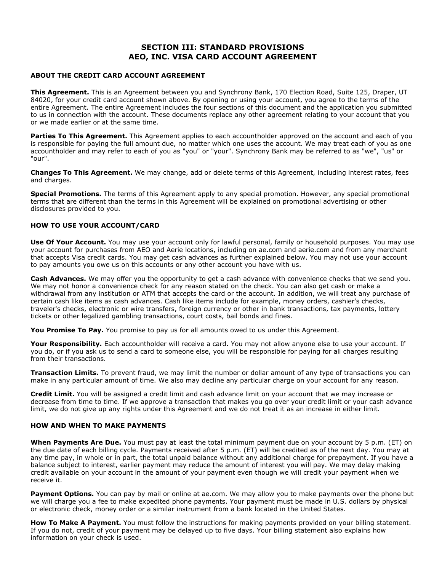### **SECTION III: STANDARD PROVISIONS AEO, INC. VISA CARD ACCOUNT AGREEMENT**

#### **ABOUT THE CREDIT CARD ACCOUNT AGREEMENT**

**This Agreement.** This is an Agreement between you and Synchrony Bank, 170 Election Road, Suite 125, Draper, UT 84020, for your credit card account shown above. By opening or using your account, you agree to the terms of the entire Agreement. The entire Agreement includes the four sections of this document and the application you submitted to us in connection with the account. These documents replace any other agreement relating to your account that you or we made earlier or at the same time.

**Parties To This Agreement.** This Agreement applies to each accountholder approved on the account and each of you is responsible for paying the full amount due, no matter which one uses the account. We may treat each of you as one accountholder and may refer to each of you as "you" or "your". Synchrony Bank may be referred to as "we", "us" or "our".

**Changes To This Agreement.** We may change, add or delete terms of this Agreement, including interest rates, fees and charges.

**Special Promotions.** The terms of this Agreement apply to any special promotion. However, any special promotional terms that are different than the terms in this Agreement will be explained on promotional advertising or other disclosures provided to you.

#### **HOW TO USE YOUR ACCOUNT/CARD**

**Use Of Your Account.** You may use your account only for lawful personal, family or household purposes. You may use your account for purchases from AEO and Aerie locations, including on ae.com and aerie.com and from any merchant that accepts Visa credit cards. You may get cash advances as further explained below. You may not use your account to pay amounts you owe us on this accounts or any other account you have with us.

**Cash Advances.** We may offer you the opportunity to get a cash advance with convenience checks that we send you. We may not honor a convenience check for any reason stated on the check. You can also get cash or make a withdrawal from any institution or ATM that accepts the card or the account. In addition, we will treat any purchase of certain cash like items as cash advances. Cash like items include for example, money orders, cashier's checks, traveler's checks, electronic or wire transfers, foreign currency or other in bank transactions, tax payments, lottery tickets or other legalized gambling transactions, court costs, bail bonds and fines.

**You Promise To Pay.** You promise to pay us for all amounts owed to us under this Agreement.

**Your Responsibility.** Each accountholder will receive a card. You may not allow anyone else to use your account. If you do, or if you ask us to send a card to someone else, you will be responsible for paying for all charges resulting from their transactions.

**Transaction Limits.** To prevent fraud, we may limit the number or dollar amount of any type of transactions you can make in any particular amount of time. We also may decline any particular charge on your account for any reason.

**Credit Limit.** You will be assigned a credit limit and cash advance limit on your account that we may increase or decrease from time to time. If we approve a transaction that makes you go over your credit limit or your cash advance limit, we do not give up any rights under this Agreement and we do not treat it as an increase in either limit.

#### **HOW AND WHEN TO MAKE PAYMENTS**

**When Payments Are Due.** You must pay at least the total minimum payment due on your account by 5 p.m. (ET) on the due date of each billing cycle. Payments received after 5 p.m. (ET) will be credited as of the next day. You may at any time pay, in whole or in part, the total unpaid balance without any additional charge for prepayment. If you have a balance subject to interest, earlier payment may reduce the amount of interest you will pay. We may delay making credit available on your account in the amount of your payment even though we will credit your payment when we receive it.

**Payment Options.** You can pay by mail or online at ae.com. We may allow you to make payments over the phone but we will charge you a fee to make expedited phone payments. Your payment must be made in U.S. dollars by physical or electronic check, money order or a similar instrument from a bank located in the United States.

**How To Make A Payment.** You must follow the instructions for making payments provided on your billing statement. If you do not, credit of your payment may be delayed up to five days. Your billing statement also explains how information on your check is used.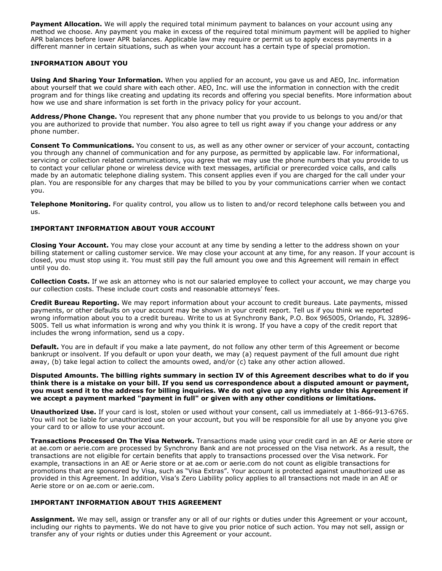**Payment Allocation.** We will apply the required total minimum payment to balances on your account using any method we choose. Any payment you make in excess of the required total minimum payment will be applied to higher APR balances before lower APR balances. Applicable law may require or permit us to apply excess payments in a different manner in certain situations, such as when your account has a certain type of special promotion.

### **INFORMATION ABOUT YOU**

**Using And Sharing Your Information.** When you applied for an account, you gave us and AEO, Inc. information about yourself that we could share with each other. AEO, Inc. will use the information in connection with the credit program and for things like creating and updating its records and offering you special benefits. More information about how we use and share information is set forth in the privacy policy for your account.

**Address/Phone Change.** You represent that any phone number that you provide to us belongs to you and/or that you are authorized to provide that number. You also agree to tell us right away if you change your address or any phone number.

**Consent To Communications.** You consent to us, as well as any other owner or servicer of your account, contacting you through any channel of communication and for any purpose, as permitted by applicable law. For informational, servicing or collection related communications, you agree that we may use the phone numbers that you provide to us to contact your cellular phone or wireless device with text messages, artificial or prerecorded voice calls, and calls made by an automatic telephone dialing system. This consent applies even if you are charged for the call under your plan. You are responsible for any charges that may be billed to you by your communications carrier when we contact you.

**Telephone Monitoring.** For quality control, you allow us to listen to and/or record telephone calls between you and us.

### **IMPORTANT INFORMATION ABOUT YOUR ACCOUNT**

**Closing Your Account.** You may close your account at any time by sending a letter to the address shown on your billing statement or calling customer service. We may close your account at any time, for any reason. If your account is closed, you must stop using it. You must still pay the full amount you owe and this Agreement will remain in effect until you do.

**Collection Costs.** If we ask an attorney who is not our salaried employee to collect your account, we may charge you our collection costs. These include court costs and reasonable attorneys' fees.

**Credit Bureau Reporting.** We may report information about your account to credit bureaus. Late payments, missed payments, or other defaults on your account may be shown in your credit report. Tell us if you think we reported wrong information about you to a credit bureau. Write to us at Synchrony Bank, P.O. Box 965005, Orlando, FL 32896 5005. Tell us what information is wrong and why you think it is wrong. If you have a copy of the credit report that includes the wrong information, send us a copy.

**Default.** You are in default if you make a late payment, do not follow any other term of this Agreement or become bankrupt or insolvent. If you default or upon your death, we may (a) request payment of the full amount due right away, (b) take legal action to collect the amounts owed, and/or (c) take any other action allowed.

#### Disputed Amounts. The billing rights summary in section IV of this Agreement describes what to do if you think there is a mistake on your bill. If you send us correspondence about a disputed amount or payment, you must send it to the address for billing inquiries. We do not give up any rights under this Agreement if **we accept a payment marked "payment in full" or given with any other conditions or limitations.**

**Unauthorized Use.** If your card is lost, stolen or used without your consent, call us immediately at 1-866-913-6765. You will not be liable for unauthorized use on your account, but you will be responsible for all use by anyone you give your card to or allow to use your account.

**Transactions Processed On The Visa Network.** Transactions made using your credit card in an AE or Aerie store or at ae.com or aerie.com are processed by Synchrony Bank and are not processed on the Visa network. As a result, the transactions are not eligible for certain benefits that apply to transactions processed over the Visa network. For example, transactions in an AE or Aerie store or at ae.com or aerie.com do not count as eligible transactions for promotions that are sponsored by Visa, such as "Visa Extras". Your account is protected against unauthorized use as provided in this Agreement. In addition, Visa's Zero Liability policy applies to all transactions not made in an AE or Aerie store or on ae.com or aerie.com.

### **IMPORTANT INFORMATION ABOUT THIS AGREEMENT**

**Assignment.** We may sell, assign or transfer any or all of our rights or duties under this Agreement or your account, including our rights to payments. We do not have to give you prior notice of such action. You may not sell, assign or transfer any of your rights or duties under this Agreement or your account.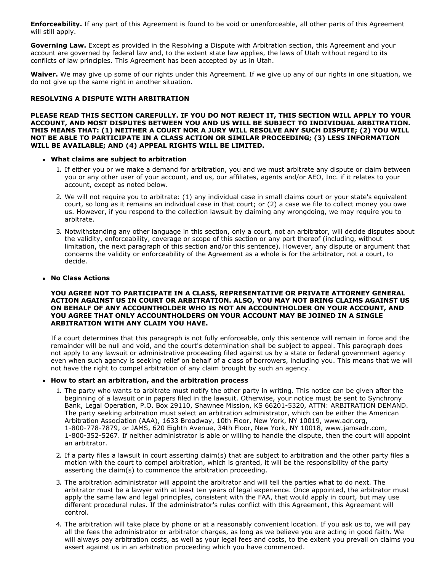**Enforceability.** If any part of this Agreement is found to be void or unenforceable, all other parts of this Agreement will still apply.

**Governing Law.** Except as provided in the Resolving a Dispute with Arbitration section, this Agreement and your account are governed by federal law and, to the extent state law applies, the laws of Utah without regard to its conflicts of law principles. This Agreement has been accepted by us in Utah.

**Waiver.** We may give up some of our rights under this Agreement. If we give up any of our rights in one situation, we do not give up the same right in another situation.

#### **RESOLVING A DISPUTE WITH ARBITRATION**

**PLEASE READ THIS SECTION CAREFULLY. IF YOU DO NOT REJECT IT, THIS SECTION WILL APPLY TO YOUR ACCOUNT, AND MOST DISPUTES BETWEEN YOU AND US WILL BE SUBJECT TO INDIVIDUAL ARBITRATION. THIS MEANS THAT: (1) NEITHER A COURT NOR A JURY WILL RESOLVE ANY SUCH DISPUTE; (2) YOU WILL NOT BE ABLE TO PARTICIPATE IN A CLASS ACTION OR SIMILAR PROCEEDING; (3) LESS INFORMATION WILL BE AVAILABLE; AND (4) APPEAL RIGHTS WILL BE LIMITED.**

#### **What claims are subject to arbitration**

- 1. If either you or we make a demand for arbitration, you and we must arbitrate any dispute or claim between you or any other user of your account, and us, our affiliates, agents and/or AEO, Inc. if it relates to your account, except as noted below.
- 2. We will not require you to arbitrate: (1) any individual case in small claims court or your state's equivalent court, so long as it remains an individual case in that court; or (2) a case we file to collect money you owe us. However, if you respond to the collection lawsuit by claiming any wrongdoing, we may require you to arbitrate.
- 3. Notwithstanding any other language in this section, only a court, not an arbitrator, will decide disputes about the validity, enforceability, coverage or scope of this section or any part thereof (including, without limitation, the next paragraph of this section and/or this sentence). However, any dispute or argument that concerns the validity or enforceability of the Agreement as a whole is for the arbitrator, not a court, to decide.

#### **No Class Actions**

#### **YOU AGREE NOT TO PARTICIPATE IN A CLASS, REPRESENTATIVE OR PRIVATE ATTORNEY GENERAL ACTION AGAINST US IN COURT OR ARBITRATION. ALSO, YOU MAY NOT BRING CLAIMS AGAINST US ON BEHALF OF ANY ACCOUNTHOLDER WHO IS NOT AN ACCOUNTHOLDER ON YOUR ACCOUNT, AND YOU AGREE THAT ONLY ACCOUNTHOLDERS ON YOUR ACCOUNT MAY BE JOINED IN A SINGLE ARBITRATION WITH ANY CLAIM YOU HAVE.**

If a court determines that this paragraph is not fully enforceable, only this sentence will remain in force and the remainder will be null and void, and the court's determination shall be subject to appeal. This paragraph does not apply to any lawsuit or administrative proceeding filed against us by a state or federal government agency even when such agency is seeking relief on behalf of a class of borrowers, including you. This means that we will not have the right to compel arbitration of any claim brought by such an agency.

#### **How to start an arbitration, and the arbitration process**

- 1. The party who wants to arbitrate must notify the other party in writing. This notice can be given after the beginning of a lawsuit or in papers filed in the lawsuit. Otherwise, your notice must be sent to Synchrony Bank, Legal Operation, P.O. Box 29110, Shawnee Mission, KS 66201-5320, ATTN: ARBITRATION DEMAND. The party seeking arbitration must select an arbitration administrator, which can be either the American Arbitration Association (AAA), 1633 Broadway, 10th Floor, New York, NY 10019, www.adr.org, 1-800-778-7879, or JAMS, 620 Eighth Avenue, 34th Floor, New York, NY 10018, www.jamsadr.com, 1-800-352-5267. If neither administrator is able or willing to handle the dispute, then the court will appoint an arbitrator.
- 2. If a party files a lawsuit in court asserting claim(s) that are subject to arbitration and the other party files a motion with the court to compel arbitration, which is granted, it will be the responsibility of the party asserting the claim(s) to commence the arbitration proceeding.
- 3. The arbitration administrator will appoint the arbitrator and will tell the parties what to do next. The arbitrator must be a lawyer with at least ten years of legal experience. Once appointed, the arbitrator must apply the same law and legal principles, consistent with the FAA, that would apply in court, but may use different procedural rules. If the administrator's rules conflict with this Agreement, this Agreement will control.
- 4. The arbitration will take place by phone or at a reasonably convenient location. If you ask us to, we will pay all the fees the administrator or arbitrator charges, as long as we believe you are acting in good faith. We will always pay arbitration costs, as well as your legal fees and costs, to the extent you prevail on claims you assert against us in an arbitration proceeding which you have commenced.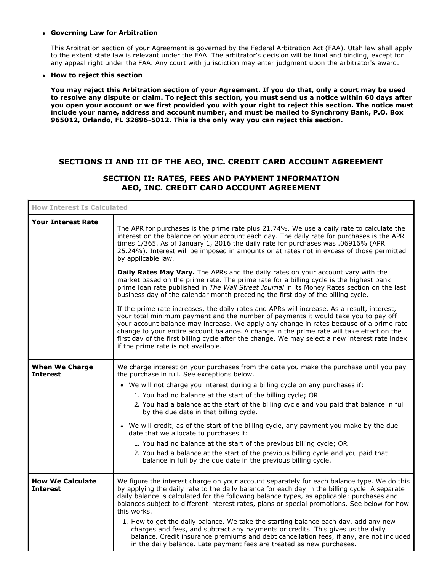#### **Governing Law for Arbitration**

This Arbitration section of your Agreement is governed by the Federal Arbitration Act (FAA). Utah law shall apply to the extent state law is relevant under the FAA. The arbitrator's decision will be final and binding, except for any appeal right under the FAA. Any court with jurisdiction may enter judgment upon the arbitrator's award.

#### **How to reject this section**

You may reject this Arbitration section of your Agreement. If you do that, only a court may be used to resolve any dispute or claim. To reject this section, you must send us a notice within 60 days after you open your account or we first provided you with your right to reject this section. The notice must **include your name, address and account number, and must be mailed to Synchrony Bank, P.O. Box 965012, Orlando, FL 328965012. This is the only way you can reject this section.**

## **SECTIONS II AND III OF THE AEO, INC. CREDIT CARD ACCOUNT AGREEMENT**

## **SECTION II: RATES, FEES AND PAYMENT INFORMATION AEO, INC. CREDIT CARD ACCOUNT AGREEMENT**

| <b>How Interest Is Calculated</b>          |                                                                                                                                                                                                                                                                                                                                                                                                                                                                                                                                                                                                                                                                                                                                                                                                 |
|--------------------------------------------|-------------------------------------------------------------------------------------------------------------------------------------------------------------------------------------------------------------------------------------------------------------------------------------------------------------------------------------------------------------------------------------------------------------------------------------------------------------------------------------------------------------------------------------------------------------------------------------------------------------------------------------------------------------------------------------------------------------------------------------------------------------------------------------------------|
| <b>Your Interest Rate</b>                  | The APR for purchases is the prime rate plus 21.74%. We use a daily rate to calculate the<br>interest on the balance on your account each day. The daily rate for purchases is the APR<br>times 1/365. As of January 1, 2016 the daily rate for purchases was .06916% (APR<br>25.24%). Interest will be imposed in amounts or at rates not in excess of those permitted<br>by applicable law.                                                                                                                                                                                                                                                                                                                                                                                                   |
|                                            | Daily Rates May Vary. The APRs and the daily rates on your account vary with the<br>market based on the prime rate. The prime rate for a billing cycle is the highest bank<br>prime loan rate published in The Wall Street Journal in its Money Rates section on the last<br>business day of the calendar month preceding the first day of the billing cycle.                                                                                                                                                                                                                                                                                                                                                                                                                                   |
|                                            | If the prime rate increases, the daily rates and APRs will increase. As a result, interest,<br>your total minimum payment and the number of payments it would take you to pay off<br>your account balance may increase. We apply any change in rates because of a prime rate<br>change to your entire account balance. A change in the prime rate will take effect on the<br>first day of the first billing cycle after the change. We may select a new interest rate index<br>if the prime rate is not available.                                                                                                                                                                                                                                                                              |
| <b>When We Charge</b><br><b>Interest</b>   | We charge interest on your purchases from the date you make the purchase until you pay<br>the purchase in full. See exceptions below.<br>• We will not charge you interest during a billing cycle on any purchases if:<br>1. You had no balance at the start of the billing cycle; OR<br>2. You had a balance at the start of the billing cycle and you paid that balance in full<br>by the due date in that billing cycle.<br>• We will credit, as of the start of the billing cycle, any payment you make by the due<br>date that we allocate to purchases if:<br>1. You had no balance at the start of the previous billing cycle; OR<br>2. You had a balance at the start of the previous billing cycle and you paid that<br>balance in full by the due date in the previous billing cycle. |
| <b>How We Calculate</b><br><b>Interest</b> | We figure the interest charge on your account separately for each balance type. We do this<br>by applying the daily rate to the daily balance for each day in the billing cycle. A separate<br>daily balance is calculated for the following balance types, as applicable: purchases and<br>balances subject to different interest rates, plans or special promotions. See below for how<br>this works.<br>1. How to get the daily balance. We take the starting balance each day, add any new<br>charges and fees, and subtract any payments or credits. This gives us the daily<br>balance. Credit insurance premiums and debt cancellation fees, if any, are not included<br>in the daily balance. Late payment fees are treated as new purchases.                                           |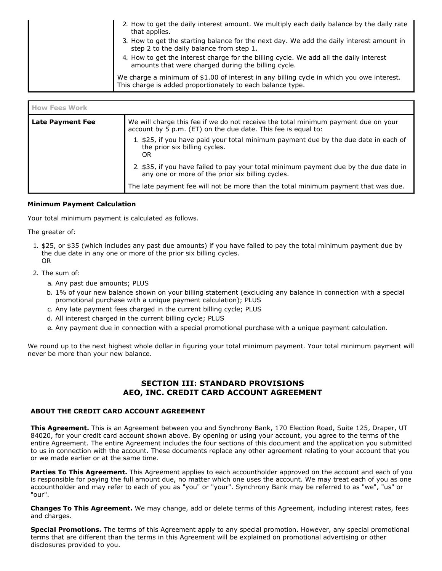| 2. How to get the daily interest amount. We multiply each daily balance by the daily rate<br>that applies.<br>3. How to get the starting balance for the next day. We add the daily interest amount in<br>step 2 to the daily balance from step 1. |
|----------------------------------------------------------------------------------------------------------------------------------------------------------------------------------------------------------------------------------------------------|
| 4. How to get the interest charge for the billing cycle. We add all the daily interest<br>amounts that were charged during the billing cycle.                                                                                                      |
| We charge a minimum of \$1.00 of interest in any billing cycle in which you owe interest.<br>This charge is added proportionately to each balance type.                                                                                            |

| <b>How Fees Work</b> |                                                                                                                                                     |
|----------------------|-----------------------------------------------------------------------------------------------------------------------------------------------------|
| Late Payment Fee     | We will charge this fee if we do not receive the total minimum payment due on your<br>account by 5 p.m. (ET) on the due date. This fee is equal to: |
|                      | 1. \$25, if you have paid your total minimum payment due by the due date in each of<br>the prior six billing cycles.<br>OR                          |
|                      | 2. \$35, if you have failed to pay your total minimum payment due by the due date in<br>any one or more of the prior six billing cycles.            |
|                      | The late payment fee will not be more than the total minimum payment that was due.                                                                  |

### **Minimum Payment Calculation**

Your total minimum payment is calculated as follows.

The greater of:

- 1. \$25, or \$35 (which includes any past due amounts) if you have failed to pay the total minimum payment due by the due date in any one or more of the prior six billing cycles. OR
- 2. The sum of:
	- a. Any past due amounts; PLUS
	- b. 1% of your new balance shown on your billing statement (excluding any balance in connection with a special promotional purchase with a unique payment calculation); PLUS
	- c. Any late payment fees charged in the current billing cycle; PLUS
	- d. All interest charged in the current billing cycle; PLUS
	- e. Any payment due in connection with a special promotional purchase with a unique payment calculation.

We round up to the next highest whole dollar in figuring your total minimum payment. Your total minimum payment will never be more than your new balance.

### **SECTION III: STANDARD PROVISIONS AEO, INC. CREDIT CARD ACCOUNT AGREEMENT**

#### **ABOUT THE CREDIT CARD ACCOUNT AGREEMENT**

**This Agreement.** This is an Agreement between you and Synchrony Bank, 170 Election Road, Suite 125, Draper, UT 84020, for your credit card account shown above. By opening or using your account, you agree to the terms of the entire Agreement. The entire Agreement includes the four sections of this document and the application you submitted to us in connection with the account. These documents replace any other agreement relating to your account that you or we made earlier or at the same time.

**Parties To This Agreement.** This Agreement applies to each accountholder approved on the account and each of you is responsible for paying the full amount due, no matter which one uses the account. We may treat each of you as one accountholder and may refer to each of you as "you" or "your". Synchrony Bank may be referred to as "we", "us" or "our".

**Changes To This Agreement.** We may change, add or delete terms of this Agreement, including interest rates, fees and charges.

**Special Promotions.** The terms of this Agreement apply to any special promotion. However, any special promotional terms that are different than the terms in this Agreement will be explained on promotional advertising or other disclosures provided to you.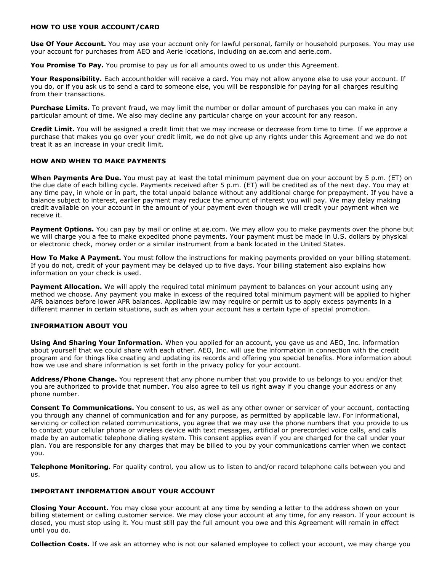#### **HOW TO USE YOUR ACCOUNT/CARD**

**Use Of Your Account.** You may use your account only for lawful personal, family or household purposes. You may use your account for purchases from AEO and Aerie locations, including on ae.com and aerie.com.

**You Promise To Pay.** You promise to pay us for all amounts owed to us under this Agreement.

**Your Responsibility.** Each accountholder will receive a card. You may not allow anyone else to use your account. If you do, or if you ask us to send a card to someone else, you will be responsible for paying for all charges resulting from their transactions.

**Purchase Limits.** To prevent fraud, we may limit the number or dollar amount of purchases you can make in any particular amount of time. We also may decline any particular charge on your account for any reason.

**Credit Limit.** You will be assigned a credit limit that we may increase or decrease from time to time. If we approve a purchase that makes you go over your credit limit, we do not give up any rights under this Agreement and we do not treat it as an increase in your credit limit.

#### **HOW AND WHEN TO MAKE PAYMENTS**

**When Payments Are Due.** You must pay at least the total minimum payment due on your account by 5 p.m. (ET) on the due date of each billing cycle. Payments received after 5 p.m. (ET) will be credited as of the next day. You may at any time pay, in whole or in part, the total unpaid balance without any additional charge for prepayment. If you have a balance subject to interest, earlier payment may reduce the amount of interest you will pay. We may delay making credit available on your account in the amount of your payment even though we will credit your payment when we receive it.

**Payment Options.** You can pay by mail or online at ae.com. We may allow you to make payments over the phone but we will charge you a fee to make expedited phone payments. Your payment must be made in U.S. dollars by physical or electronic check, money order or a similar instrument from a bank located in the United States.

**How To Make A Payment.** You must follow the instructions for making payments provided on your billing statement. If you do not, credit of your payment may be delayed up to five days. Your billing statement also explains how information on your check is used.

**Payment Allocation.** We will apply the required total minimum payment to balances on your account using any method we choose. Any payment you make in excess of the required total minimum payment will be applied to higher APR balances before lower APR balances. Applicable law may require or permit us to apply excess payments in a different manner in certain situations, such as when your account has a certain type of special promotion.

### **INFORMATION ABOUT YOU**

**Using And Sharing Your Information.** When you applied for an account, you gave us and AEO, Inc. information about yourself that we could share with each other. AEO, Inc. will use the information in connection with the credit program and for things like creating and updating its records and offering you special benefits. More information about how we use and share information is set forth in the privacy policy for your account.

**Address/Phone Change.** You represent that any phone number that you provide to us belongs to you and/or that you are authorized to provide that number. You also agree to tell us right away if you change your address or any phone number.

**Consent To Communications.** You consent to us, as well as any other owner or servicer of your account, contacting you through any channel of communication and for any purpose, as permitted by applicable law. For informational, servicing or collection related communications, you agree that we may use the phone numbers that you provide to us to contact your cellular phone or wireless device with text messages, artificial or prerecorded voice calls, and calls made by an automatic telephone dialing system. This consent applies even if you are charged for the call under your plan. You are responsible for any charges that may be billed to you by your communications carrier when we contact you.

**Telephone Monitoring.** For quality control, you allow us to listen to and/or record telephone calls between you and us.

#### **IMPORTANT INFORMATION ABOUT YOUR ACCOUNT**

**Closing Your Account.** You may close your account at any time by sending a letter to the address shown on your billing statement or calling customer service. We may close your account at any time, for any reason. If your account is closed, you must stop using it. You must still pay the full amount you owe and this Agreement will remain in effect until you do.

**Collection Costs.** If we ask an attorney who is not our salaried employee to collect your account, we may charge you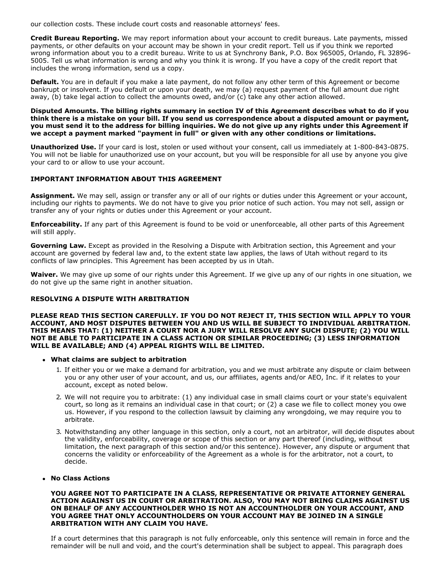our collection costs. These include court costs and reasonable attorneys' fees.

**Credit Bureau Reporting.** We may report information about your account to credit bureaus. Late payments, missed payments, or other defaults on your account may be shown in your credit report. Tell us if you think we reported wrong information about you to a credit bureau. Write to us at Synchrony Bank, P.O. Box 965005, Orlando, FL 32896 5005. Tell us what information is wrong and why you think it is wrong. If you have a copy of the credit report that includes the wrong information, send us a copy.

**Default.** You are in default if you make a late payment, do not follow any other term of this Agreement or become bankrupt or insolvent. If you default or upon your death, we may (a) request payment of the full amount due right away, (b) take legal action to collect the amounts owed, and/or (c) take any other action allowed.

Disputed Amounts. The billing rights summary in section IV of this Agreement describes what to do if you think there is a mistake on your bill. If you send us correspondence about a disputed amount or payment, you must send it to the address for billing inquiries. We do not give up any rights under this Agreement if **we accept a payment marked "payment in full" or given with any other conditions or limitations.**

**Unauthorized Use.** If your card is lost, stolen or used without your consent, call us immediately at 1-800-843-0875. You will not be liable for unauthorized use on your account, but you will be responsible for all use by anyone you give your card to or allow to use your account.

### **IMPORTANT INFORMATION ABOUT THIS AGREEMENT**

**Assignment.** We may sell, assign or transfer any or all of our rights or duties under this Agreement or your account, including our rights to payments. We do not have to give you prior notice of such action. You may not sell, assign or transfer any of your rights or duties under this Agreement or your account.

**Enforceability.** If any part of this Agreement is found to be void or unenforceable, all other parts of this Agreement will still apply.

**Governing Law.** Except as provided in the Resolving a Dispute with Arbitration section, this Agreement and your account are governed by federal law and, to the extent state law applies, the laws of Utah without regard to its conflicts of law principles. This Agreement has been accepted by us in Utah.

**Waiver.** We may give up some of our rights under this Agreement. If we give up any of our rights in one situation, we do not give up the same right in another situation.

#### **RESOLVING A DISPUTE WITH ARBITRATION**

**PLEASE READ THIS SECTION CAREFULLY. IF YOU DO NOT REJECT IT, THIS SECTION WILL APPLY TO YOUR ACCOUNT, AND MOST DISPUTES BETWEEN YOU AND US WILL BE SUBJECT TO INDIVIDUAL ARBITRATION. THIS MEANS THAT: (1) NEITHER A COURT NOR A JURY WILL RESOLVE ANY SUCH DISPUTE; (2) YOU WILL NOT BE ABLE TO PARTICIPATE IN A CLASS ACTION OR SIMILAR PROCEEDING; (3) LESS INFORMATION WILL BE AVAILABLE; AND (4) APPEAL RIGHTS WILL BE LIMITED.**

- **What claims are subject to arbitration**
	- 1. If either you or we make a demand for arbitration, you and we must arbitrate any dispute or claim between you or any other user of your account, and us, our affiliates, agents and/or AEO, Inc. if it relates to your account, except as noted below.
	- 2. We will not require you to arbitrate: (1) any individual case in small claims court or your state's equivalent court, so long as it remains an individual case in that court; or (2) a case we file to collect money you owe us. However, if you respond to the collection lawsuit by claiming any wrongdoing, we may require you to arbitrate.
	- 3. Notwithstanding any other language in this section, only a court, not an arbitrator, will decide disputes about the validity, enforceability, coverage or scope of this section or any part thereof (including, without limitation, the next paragraph of this section and/or this sentence). However, any dispute or argument that concerns the validity or enforceability of the Agreement as a whole is for the arbitrator, not a court, to decide.

#### **No Class Actions**

**YOU AGREE NOT TO PARTICIPATE IN A CLASS, REPRESENTATIVE OR PRIVATE ATTORNEY GENERAL ACTION AGAINST US IN COURT OR ARBITRATION. ALSO, YOU MAY NOT BRING CLAIMS AGAINST US ON BEHALF OF ANY ACCOUNTHOLDER WHO IS NOT AN ACCOUNTHOLDER ON YOUR ACCOUNT, AND YOU AGREE THAT ONLY ACCOUNTHOLDERS ON YOUR ACCOUNT MAY BE JOINED IN A SINGLE ARBITRATION WITH ANY CLAIM YOU HAVE.**

If a court determines that this paragraph is not fully enforceable, only this sentence will remain in force and the remainder will be null and void, and the court's determination shall be subject to appeal. This paragraph does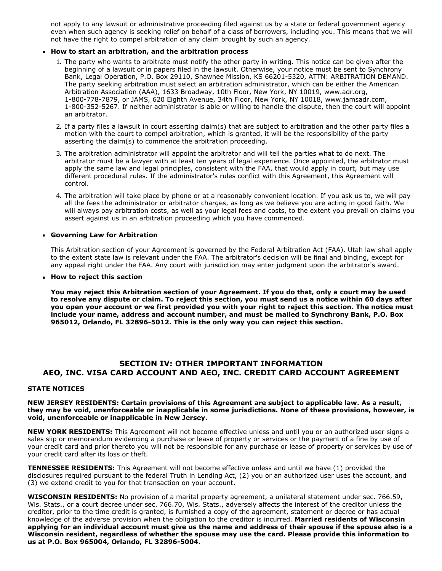not apply to any lawsuit or administrative proceeding filed against us by a state or federal government agency even when such agency is seeking relief on behalf of a class of borrowers, including you. This means that we will not have the right to compel arbitration of any claim brought by such an agency.

#### **How to start an arbitration, and the arbitration process**

- 1. The party who wants to arbitrate must notify the other party in writing. This notice can be given after the beginning of a lawsuit or in papers filed in the lawsuit. Otherwise, your notice must be sent to Synchrony Bank, Legal Operation, P.O. Box 29110, Shawnee Mission, KS 66201-5320, ATTN: ARBITRATION DEMAND. The party seeking arbitration must select an arbitration administrator, which can be either the American Arbitration Association (AAA), 1633 Broadway, 10th Floor, New York, NY 10019, www.adr.org, 1-800-778-7879, or JAMS, 620 Eighth Avenue, 34th Floor, New York, NY 10018, www.jamsadr.com, 1-800-352-5267. If neither administrator is able or willing to handle the dispute, then the court will appoint an arbitrator.
- 2. If a party files a lawsuit in court asserting claim(s) that are subject to arbitration and the other party files a motion with the court to compel arbitration, which is granted, it will be the responsibility of the party asserting the claim(s) to commence the arbitration proceeding.
- 3. The arbitration administrator will appoint the arbitrator and will tell the parties what to do next. The arbitrator must be a lawyer with at least ten years of legal experience. Once appointed, the arbitrator must apply the same law and legal principles, consistent with the FAA, that would apply in court, but may use different procedural rules. If the administrator's rules conflict with this Agreement, this Agreement will control.
- 4. The arbitration will take place by phone or at a reasonably convenient location. If you ask us to, we will pay all the fees the administrator or arbitrator charges, as long as we believe you are acting in good faith. We will always pay arbitration costs, as well as your legal fees and costs, to the extent you prevail on claims you assert against us in an arbitration proceeding which you have commenced.

#### **Governing Law for Arbitration**

This Arbitration section of your Agreement is governed by the Federal Arbitration Act (FAA). Utah law shall apply to the extent state law is relevant under the FAA. The arbitrator's decision will be final and binding, except for any appeal right under the FAA. Any court with jurisdiction may enter judgment upon the arbitrator's award.

#### **How to reject this section**

You may reject this Arbitration section of your Agreement. If you do that, only a court may be used to resolve any dispute or claim. To reject this section, you must send us a notice within 60 days after you open your account or we first provided you with your right to reject this section. The notice must **include your name, address and account number, and must be mailed to Synchrony Bank, P.O. Box 965012, Orlando, FL 328965012. This is the only way you can reject this section.**

## **SECTION IV: OTHER IMPORTANT INFORMATION AEO, INC. VISA CARD ACCOUNT AND AEO, INC. CREDIT CARD ACCOUNT AGREEMENT**

#### **STATE NOTICES**

#### **NEW JERSEY RESIDENTS: Certain provisions of this Agreement are subject to applicable law. As a result, they may be void, unenforceable or inapplicable in some jurisdictions. None of these provisions, however, is void, unenforceable or inapplicable in New Jersey.**

**NEW YORK RESIDENTS:** This Agreement will not become effective unless and until you or an authorized user signs a sales slip or memorandum evidencing a purchase or lease of property or services or the payment of a fine by use of your credit card and prior thereto you will not be responsible for any purchase or lease of property or services by use of your credit card after its loss or theft.

**TENNESSEE RESIDENTS:** This Agreement will not become effective unless and until we have (1) provided the disclosures required pursuant to the federal Truth in Lending Act, (2) you or an authorized user uses the account, and (3) we extend credit to you for that transaction on your account.

**WISCONSIN RESIDENTS:** No provision of a marital property agreement, a unilateral statement under sec. 766.59, Wis. Stats., or a court decree under sec. 766.70, Wis. Stats., adversely affects the interest of the creditor unless the creditor, prior to the time credit is granted, is furnished a copy of the agreement, statement or decree or has actual knowledge of the adverse provision when the obligation to the creditor is incurred. **Married residents of Wisconsin** applying for an individual account must give us the name and address of their spouse if the spouse also is a **Wisconsin resident, regardless of whether the spouse may use the card. Please provide this information to us at P.O. Box 965004, Orlando, FL 328965004.**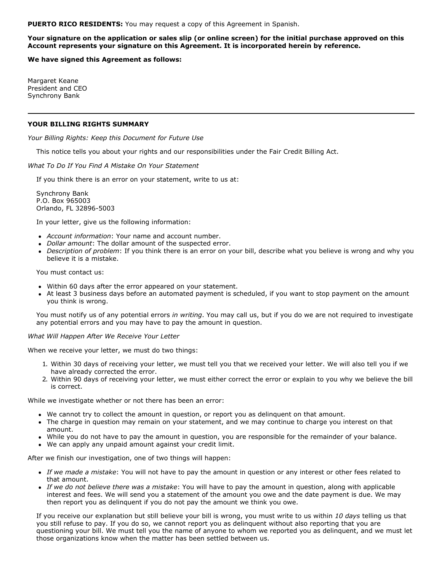**PUERTO RICO RESIDENTS:** You may request a copy of this Agreement in Spanish.

#### Your signature on the application or sales slip (or online screen) for the initial purchase approved on this **Account represents your signature on this Agreement. It is incorporated herein by reference.**

**We have signed this Agreement as follows:**

Margaret Keane President and CEO Synchrony Bank

#### **YOUR BILLING RIGHTS SUMMARY**

*Your Billing Rights: Keep this Document for Future Use*

This notice tells you about your rights and our responsibilities under the Fair Credit Billing Act.

*What To Do If You Find A Mistake On Your Statement*

If you think there is an error on your statement, write to us at:

Synchrony Bank P.O. Box 965003 Orlando, FL 32896-5003

In your letter, give us the following information:

- *Account information*: Your name and account number.
- *Dollar amount*: The dollar amount of the suspected error.
- *Description of problem*: If you think there is an error on your bill, describe what you believe is wrong and why you believe it is a mistake.

You must contact us:

- Within 60 days after the error appeared on your statement.
- At least 3 business days before an automated payment is scheduled, if you want to stop payment on the amount you think is wrong.

You must notify us of any potential errors *in writing*. You may call us, but if you do we are not required to investigate any potential errors and you may have to pay the amount in question.

#### *What Will Happen After We Receive Your Letter*

When we receive your letter, we must do two things:

- 1. Within 30 days of receiving your letter, we must tell you that we received your letter. We will also tell you if we have already corrected the error.
- 2. Within 90 days of receiving your letter, we must either correct the error or explain to you why we believe the bill is correct.

While we investigate whether or not there has been an error:

- We cannot try to collect the amount in question, or report you as delinquent on that amount.
- The charge in question may remain on your statement, and we may continue to charge you interest on that amount.
- While you do not have to pay the amount in question, you are responsible for the remainder of your balance.
- We can apply any unpaid amount against your credit limit.

After we finish our investigation, one of two things will happen:

- *If we made a mistake*: You will not have to pay the amount in question or any interest or other fees related to that amount.
- *If we do not believe there was a mistake*: You will have to pay the amount in question, along with applicable interest and fees. We will send you a statement of the amount you owe and the date payment is due. We may then report you as delinquent if you do not pay the amount we think you owe.

If you receive our explanation but still believe your bill is wrong, you must write to us within *10 days* telling us that you still refuse to pay. If you do so, we cannot report you as delinquent without also reporting that you are questioning your bill. We must tell you the name of anyone to whom we reported you as delinquent, and we must let those organizations know when the matter has been settled between us.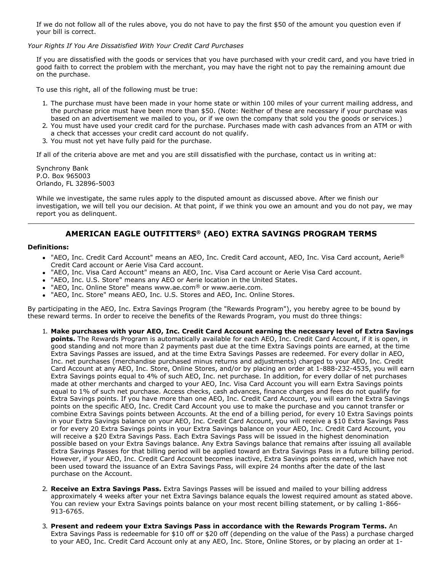If we do not follow all of the rules above, you do not have to pay the first \$50 of the amount you question even if your bill is correct.

#### *Your Rights If You Are Dissatisfied With Your Credit Card Purchases*

If you are dissatisfied with the goods or services that you have purchased with your credit card, and you have tried in good faith to correct the problem with the merchant, you may have the right not to pay the remaining amount due on the purchase.

To use this right, all of the following must be true:

- 1. The purchase must have been made in your home state or within 100 miles of your current mailing address, and the purchase price must have been more than \$50. (Note: Neither of these are necessary if your purchase was based on an advertisement we mailed to you, or if we own the company that sold you the goods or services.)
- 2. You must have used your credit card for the purchase. Purchases made with cash advances from an ATM or with a check that accesses your credit card account do not qualify.
- 3. You must not yet have fully paid for the purchase.

If all of the criteria above are met and you are still dissatisfied with the purchase, contact us in writing at:

Synchrony Bank P.O. Box 965003 Orlando, FL 32896-5003

While we investigate, the same rules apply to the disputed amount as discussed above. After we finish our investigation, we will tell you our decision. At that point, if we think you owe an amount and you do not pay, we may report you as delinquent.

# **AMERICAN EAGLE OUTFITTERS ® (AEO) EXTRA SAVINGS PROGRAM TERMS**

#### **Definitions:**

- "AEO, Inc. Credit Card Account" means an AEO, Inc. Credit Card account, AEO, Inc. Visa Card account, Aerie® Credit Card account or Aerie Visa Card account.
- "AEO, Inc. Visa Card Account" means an AEO, Inc. Visa Card account or Aerie Visa Card account.
- "AEO, Inc. U.S. Store" means any AEO or Aerie location in the United States.
- "AEO, Inc. Online Store" means www.ae.com® or www.aerie.com.
- "AEO, Inc. Store" means AEO, Inc. U.S. Stores and AEO, Inc. Online Stores.

By participating in the AEO, Inc. Extra Savings Program (the "Rewards Program"), you hereby agree to be bound by these reward terms. In order to receive the benefits of the Rewards Program, you must do three things:

- 1. **Make purchases with your AEO, Inc. Credit Card Account earning the necessary level of Extra Savings points.** The Rewards Program is automatically available for each AEO, Inc. Credit Card Account, if it is open, in good standing and not more than 2 payments past due at the time Extra Savings points are earned, at the time Extra Savings Passes are issued, and at the time Extra Savings Passes are redeemed. For every dollar in AEO, Inc. net purchases (merchandise purchased minus returns and adjustments) charged to your AEO, Inc. Credit Card Account at any AEO, Inc. Store, Online Stores, and/or by placing an order at 1-888-232-4535, you will earn Extra Savings points equal to 4% of such AEO, Inc. net purchase. In addition, for every dollar of net purchases made at other merchants and charged to your AEO, Inc. Visa Card Account you will earn Extra Savings points equal to 1% of such net purchase. Access checks, cash advances, finance charges and fees do not qualify for Extra Savings points. If you have more than one AEO, Inc. Credit Card Account, you will earn the Extra Savings points on the specific AEO, Inc. Credit Card Account you use to make the purchase and you cannot transfer or combine Extra Savings points between Accounts. At the end of a billing period, for every 10 Extra Savings points in your Extra Savings balance on your AEO, Inc. Credit Card Account, you will receive a \$10 Extra Savings Pass or for every 20 Extra Savings points in your Extra Savings balance on your AEO, Inc. Credit Card Account, you will receive a \$20 Extra Savings Pass. Each Extra Savings Pass will be issued in the highest denomination possible based on your Extra Savings balance. Any Extra Savings balance that remains after issuing all available Extra Savings Passes for that billing period will be applied toward an Extra Savings Pass in a future billing period. However, if your AEO, Inc. Credit Card Account becomes inactive, Extra Savings points earned, which have not been used toward the issuance of an Extra Savings Pass, will expire 24 months after the date of the last purchase on the Account.
- 2. **Receive an Extra Savings Pass.** Extra Savings Passes will be issued and mailed to your billing address approximately 4 weeks after your net Extra Savings balance equals the lowest required amount as stated above. You can review your Extra Savings points balance on your most recent billing statement, or by calling 1-866-913-6765.
- 3. **Present and redeem your Extra Savings Pass in accordance with the Rewards Program Terms.** An Extra Savings Pass is redeemable for \$10 off or \$20 off (depending on the value of the Pass) a purchase charged to your AEO, Inc. Credit Card Account only at any AEO, Inc. Store, Online Stores, or by placing an order at 1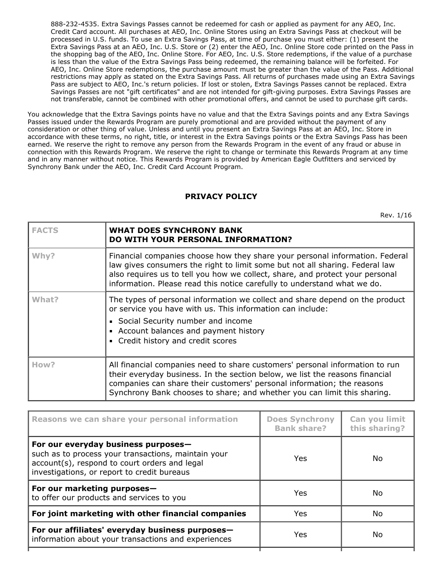8882324535. Extra Savings Passes cannot be redeemed for cash or applied as payment for any AEO, Inc. Credit Card account. All purchases at AEO, Inc. Online Stores using an Extra Savings Pass at checkout will be processed in U.S. funds. To use an Extra Savings Pass, at time of purchase you must either: (1) present the Extra Savings Pass at an AEO, Inc. U.S. Store or (2) enter the AEO, Inc. Online Store code printed on the Pass in the shopping bag of the AEO, Inc. Online Store. For AEO, Inc. U.S. Store redemptions, if the value of a purchase is less than the value of the Extra Savings Pass being redeemed, the remaining balance will be forfeited. For AEO, Inc. Online Store redemptions, the purchase amount must be greater than the value of the Pass. Additional restrictions may apply as stated on the Extra Savings Pass. All returns of purchases made using an Extra Savings Pass are subject to AEO, Inc.'s return policies. If lost or stolen, Extra Savings Passes cannot be replaced. Extra Savings Passes are not "gift certificates" and are not intended for gift-giving purposes. Extra Savings Passes are not transferable, cannot be combined with other promotional offers, and cannot be used to purchase gift cards.

You acknowledge that the Extra Savings points have no value and that the Extra Savings points and any Extra Savings Passes issued under the Rewards Program are purely promotional and are provided without the payment of any consideration or other thing of value. Unless and until you present an Extra Savings Pass at an AEO, Inc. Store in accordance with these terms, no right, title, or interest in the Extra Savings points or the Extra Savings Pass has been earned. We reserve the right to remove any person from the Rewards Program in the event of any fraud or abuse in connection with this Rewards Program. We reserve the right to change or terminate this Rewards Program at any time and in any manner without notice. This Rewards Program is provided by American Eagle Outfitters and serviced by Synchrony Bank under the AEO, Inc. Credit Card Account Program.

# **PRIVACY POLICY**

Rev. 1/16

| <b>FACTS</b> | <b>WHAT DOES SYNCHRONY BANK</b><br><b>DO WITH YOUR PERSONAL INFORMATION?</b>                                                                                                                                                                                                                                              |
|--------------|---------------------------------------------------------------------------------------------------------------------------------------------------------------------------------------------------------------------------------------------------------------------------------------------------------------------------|
| Why?         | Financial companies choose how they share your personal information. Federal<br>law gives consumers the right to limit some but not all sharing. Federal law<br>also requires us to tell you how we collect, share, and protect your personal<br>information. Please read this notice carefully to understand what we do. |
| What?        | The types of personal information we collect and share depend on the product<br>or service you have with us. This information can include:<br>• Social Security number and income<br>• Account balances and payment history<br>• Credit history and credit scores                                                         |
| How?         | All financial companies need to share customers' personal information to run<br>their everyday business. In the section below, we list the reasons financial<br>companies can share their customers' personal information; the reasons<br>Synchrony Bank chooses to share; and whether you can limit this sharing.        |

| Reasons we can share your personal information                                                                                                                                             | <b>Does Synchrony</b><br><b>Bank share?</b> | Can you limit<br>this sharing? |
|--------------------------------------------------------------------------------------------------------------------------------------------------------------------------------------------|---------------------------------------------|--------------------------------|
| For our everyday business purposes-<br>such as to process your transactions, maintain your<br>account(s), respond to court orders and legal<br>investigations, or report to credit bureaus | <b>Yes</b>                                  | No.                            |
| For our marketing purposes-<br>to offer our products and services to you                                                                                                                   | <b>Yes</b>                                  | No.                            |
| For joint marketing with other financial companies                                                                                                                                         | Yes                                         | No                             |
| For our affiliates' everyday business purposes-<br>information about your transactions and experiences                                                                                     | <b>Yes</b>                                  | No.                            |
|                                                                                                                                                                                            |                                             |                                |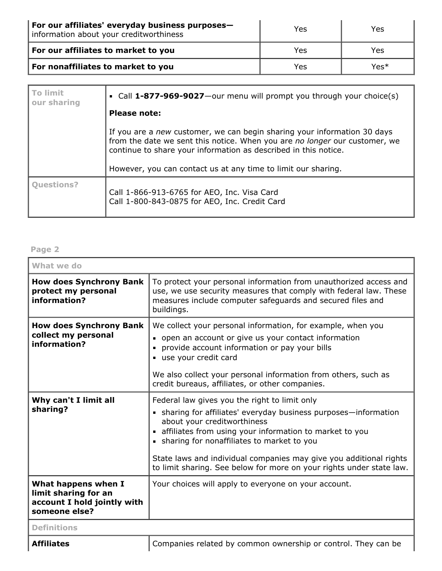| For our affiliates' everyday business purposes-<br>information about your creditworthiness | Yes | Yes  |
|--------------------------------------------------------------------------------------------|-----|------|
| For our affiliates to market to you                                                        | Yes | Yes  |
| For nonaffiliates to market to you                                                         | Yes | Yes* |

| <b>To limit</b><br>our sharing | • Call 1-877-969-9027—our menu will prompt you through your choice(s)                                                                                                                                                     |
|--------------------------------|---------------------------------------------------------------------------------------------------------------------------------------------------------------------------------------------------------------------------|
|                                | <b>Please note:</b>                                                                                                                                                                                                       |
|                                | If you are a new customer, we can begin sharing your information 30 days<br>from the date we sent this notice. When you are no longer our customer, we<br>continue to share your information as described in this notice. |
|                                | However, you can contact us at any time to limit our sharing.                                                                                                                                                             |
| <b>Ouestions?</b>              | Call 1-866-913-6765 for AEO, Inc. Visa Card<br>Call 1-800-843-0875 for AEO, Inc. Credit Card                                                                                                                              |

## **Page 2**

| What we do                                                                                  |                                                                                                                                                                                                                                                                                                                                                                                                           |
|---------------------------------------------------------------------------------------------|-----------------------------------------------------------------------------------------------------------------------------------------------------------------------------------------------------------------------------------------------------------------------------------------------------------------------------------------------------------------------------------------------------------|
| <b>How does Synchrony Bank</b><br>protect my personal<br>information?                       | To protect your personal information from unauthorized access and<br>use, we use security measures that comply with federal law. These<br>measures include computer safeguards and secured files and<br>buildings.                                                                                                                                                                                        |
| <b>How does Synchrony Bank</b><br>collect my personal<br>information?                       | We collect your personal information, for example, when you<br>• open an account or give us your contact information<br>provide account information or pay your bills<br>use your credit card<br>We also collect your personal information from others, such as<br>credit bureaus, affiliates, or other companies.                                                                                        |
| Why can't I limit all<br>sharing?                                                           | Federal law gives you the right to limit only<br>• sharing for affiliates' everyday business purposes-information<br>about your creditworthiness<br>affiliates from using your information to market to you<br>• sharing for nonaffiliates to market to you<br>State laws and individual companies may give you additional rights<br>to limit sharing. See below for more on your rights under state law. |
| What happens when I<br>limit sharing for an<br>account I hold jointly with<br>someone else? | Your choices will apply to everyone on your account.                                                                                                                                                                                                                                                                                                                                                      |
| <b>Definitions</b>                                                                          |                                                                                                                                                                                                                                                                                                                                                                                                           |
|                                                                                             |                                                                                                                                                                                                                                                                                                                                                                                                           |

**Affiliates Companies related by common ownership or control. They can be**